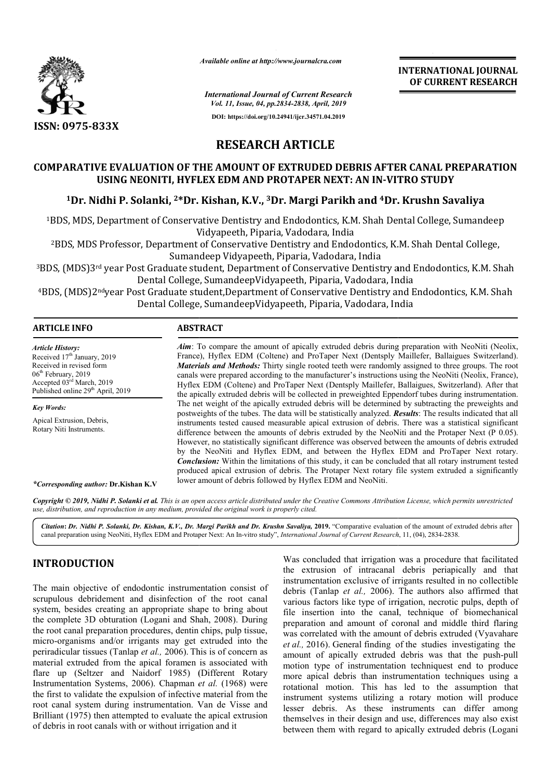

*Available online at http://www.journalcra.com*

**INTERNATIONAL JOURNAL OF CURRENT RESEARCH**

*International Journal of Current Research Vol. 11, Issue, 04, pp.2834-2838, April, 2019* **DOI: https://doi.org/10.24941/ijcr.34571.04.2019**

## **RESEARCH ARTICLE**

## **COMPARATIVE EVALUATION OF THE AMOUNT OF EXTRUDED DEBRIS AFTER CANAL PREPARATION USING NEONITI, HYFLEX EDM AND PROTAPER NEXT: AN IN IN-VITRO STUDY**

# USING NEONITI, HYFLEX EDM AND PROTAPER NEXT: AN IN-VITRO STUDY<br><sup>1</sup>Dr. Nidhi P. Solanki, <sup>2\*</sup>Dr. Kishan, K.V., <sup>3</sup>Dr. Margi Parikh and <sup>4</sup>Dr. Krushn Savaliya

1BDS, MDS, Department of Conservative Dentistry and Endodontics, K.M. Shah Dental College, Sumandeep Vidya Vidyapeeth, Piparia, Vadodara, India

2BDS, MDS Professor, Department of Conservative Dentistry and Endodontics, K.M. Shah Dental College, Sumandeep Vidyapeeth, Piparia, Vadodara, India

<sup>3</sup>BDS, (MDS)3rd year Post Graduate student, Department of Conservative Dentistry and Endodontics, K.M. Shah Dental College, SumandeepVidyapeeth, Piparia, Vadodara, India

<sup>4</sup>BDS, (MDS)2<sup>nd</sup>year Post Graduate student,Department of Conservative Dentistry and Endodontics, K.M. Shah Dental College, SumandeepVidyapeeth, Piparia, Vadodara, India nd Endodontics, K.M. Shah Dental College, Sumandeep<br>ria, Vadodara, India<br>Dentistry and Endodontics, K.M. Shah Dental College,<br>1, Piparia, Vadodara, India<br>nt of Conservative Dentistry and Endodontics, K.M. Sh<br>yapeeth, Pipar

| <b>ARTICLE INFO</b>                                                                    | <b>ABSTRACT</b>                                                                                                    |
|----------------------------------------------------------------------------------------|--------------------------------------------------------------------------------------------------------------------|
| <b>Article History:</b>                                                                | <b>Aim:</b> To compare the amount of apically extruded debris during preparation with NeoNiti (Neolix,             |
| Received 17 <sup>th</sup> January, 2019                                                | France), Hyflex EDM (Coltene) and ProTaper Next (Dentsply Maillefer, Ballaigues Switzerland).                      |
| Received in revised form                                                               | <b>Materials and Methods:</b> Thirty single rooted teeth were randomly assigned to three groups. The root          |
| $06th$ February, 2019                                                                  | canals were prepared according to the manufacturer's instructions using the NeoNiti (Neolix, France),              |
| Accepted 03 <sup>rd</sup> March, 2019<br>Published online 29 <sup>th</sup> April, 2019 | Hyflex EDM (Coltene) and ProTaper Next (Dentsply Maillefer, Ballaigues, Switzerland). After that                   |
|                                                                                        | the apically extruded debris will be collected in preweighted Eppendorf tubes during instrumentation.              |
| <b>Key Words:</b>                                                                      | The net weight of the apically extruded debris will be determined by subtracting the preweights and                |
| Apical Extrusion, Debris,<br>Rotary Niti Instruments.                                  | postweights of the tubes. The data will be statistically analyzed. <b>Results</b> : The results indicated that all |
|                                                                                        | instruments tested caused measurable apical extrusion of debris. There was a statistical significant               |
|                                                                                        | difference between the amounts of debris extruded by the NeoNiti and the Protaper Next $(P\ 0.05)$ .               |
|                                                                                        | However, no statistically significant difference was observed between the amounts of debris extruded               |
|                                                                                        | by the NeoNiti and Hyflex EDM, and between the Hyflex EDM and ProTaper Next rotary.                                |
|                                                                                        | <b>Conclusion:</b> Within the limitations of this study, it can be concluded that all rotary instrument tested     |
|                                                                                        | produced apical extrusion of debris. The Protaper Next rotary file system extruded a significantly                 |
|                                                                                        | lower amount of debris followed by Hyflex EDM and NeoNiti.                                                         |

#### *\*Corresponding author:* **Dr.Kishan K.V**

**Copyright © 2019, Nidhi P. Solanki et al.** This is an open access article distributed under the Creative Commons Attribution License, which permits unrestrictea *use, distribution, and reproduction in any medium, provided the original work is properly cited.*

Citation: Dr. Nidhi P. Solanki, Dr. Kishan, K.V., Dr. Margi Parikh and Dr. Krushn Savaliya, 2019. "Comparative evaluation of the amount of extruded debris after canal preparation using NeoNiti, Hyflex EDM and Protaper Next: An In-vitro study", *International Journal of Current Research*, 11, (04), 2834-2838.

## **INTRODUCTION**

The main objective of endodontic instrumentation consist of scrupulous debridement and disinfection of the root canal system, besides creating an appropriate shape to bring about the complete 3D obturation (Logani and Shah, 2008). During the root canal preparation procedures, dentin chips, pulp tissue, micro-organisms and/or irrigants may get extruded into the periradicular tissues (Tanlap *et al.,* 2006). This is of concern as material extruded from the apical foramen is associated with flare up (Seltzer and Naidorf 1985) (Different Rotary Instrumentation Systems, 2006). Chapman *et al.* (1968) were the first to validate the expulsion of infective material from the root canal system during instrumentation. Van de Visse and Brilliant (1975) then attempted to evaluate the apical extrusion of debris in root canals with or without irrigation and it

Was concluded that irrigation was a procedure that facilitated the extrusion of intracanal debris periapically and that instrumentation exclusive of irrigants resulted in no collectible debris (Tanlap *et al.,* 2006). The authors also affirmed that various factors like type of irrigation, necrotic pulps, depth of file insertion into the canal, technique of biomechanical preparation and amount of coronal and middle third flaring was correlated with the amount of debris extruded (Vyavahare *et al.,* 2016). General finding of the studies investigating the amount of apically extruded debris was that the push-pull motion type of instrumentation techniquest end to produce more apical debris than instrumentation techniques using a rotational motion. This has led to the assumption that instrument systems utilizing a rotary motion will produce lesser debris. As these instruments can differ among themselves in their design and use, differences may also exist between them with regard to apically extruded debris (Logani irrigation was a procedure that facilitated<br>intracanal debris periapically and that<br>lusive of irrigants resulted in no collectible arious factors like type of irrigation, necrotic pulps, depth of le insertion into the canal, technique of biomechanical reparation and amount of coronal and middle third flaring as correlated with the amount of debris ext umentation techniquest end to produce<br>han instrumentation techniques using a<br>This has led to the assumption that<br>utilizing a rotary motion will produce<br>these instruments can differ among<br>esign and use, differences may also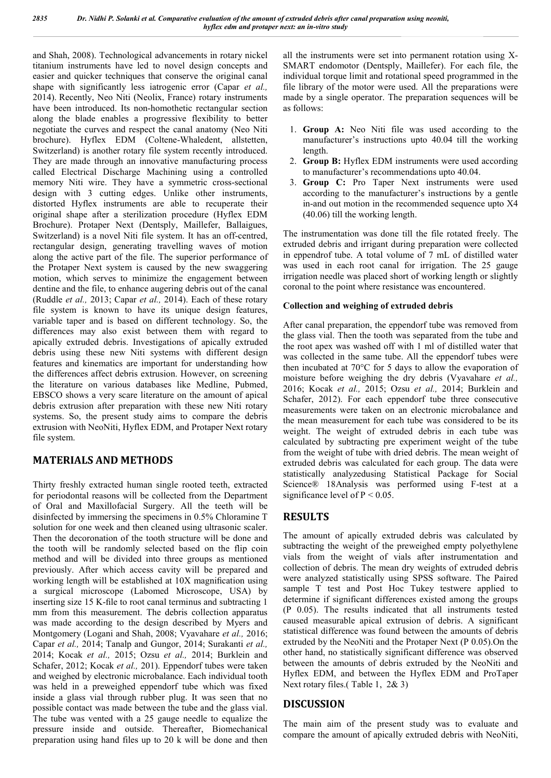and Shah, 2008). Technological advancements in rotary nickel titanium instruments have led to novel design concepts and easier and quicker techniques that conserve the original canal shape with significantly less iatrogenic error (Capar *et al.,*  2014). Recently, Neo Niti (Neolix, France) rotary instruments have been introduced. Its non-homothetic rectangular section along the blade enables a progressive flexibility to better negotiate the curves and respect the canal anatomy (Neo Niti brochure). Hyflex EDM (Coltene-Whaledent, allstetten, Switzerland) is another rotary file system recently introduced. They are made through an innovative manufacturing process called Electrical Discharge Machining using a controlled memory Niti wire. They have a symmetric cross-sectional design with 3 cutting edges. Unlike other instruments, distorted Hyflex instruments are able to recuperate their original shape after a sterilization procedure (Hyflex EDM Brochure). Protaper Next (Dentsply, Maillefer, Ballaigues, Switzerland) is a novel Niti file system. It has an off-centred, rectangular design, generating travelling waves of motion along the active part of the file. The superior performance of the Protaper Next system is caused by the new swaggering motion, which serves to minimize the engagement between dentine and the file, to enhance augering debris out of the canal (Ruddle *et al.,* 2013; Capar *et al.,* 2014). Each of these rotary file system is known to have its unique design features, variable taper and is based on different technology. So, the differences may also exist between them with regard to apically extruded debris. Investigations of apically extruded debris using these new Niti systems with different design features and kinematics are important for understanding how the differences affect debris extrusion. However, on screening the literature on various databases like Medline, Pubmed, EBSCO shows a very scare literature on the amount of apical debris extrusion after preparation with these new Niti rotary systems. So, the present study aims to compare the debris extrusion with NeoNiti, Hyflex EDM, and Protaper Next rotary file system.

## **MATERIALS AND METHODS**

Thirty freshly extracted human single rooted teeth, extracted for periodontal reasons will be collected from the Department of Oral and Maxillofacial Surgery. All the teeth will be disinfected by immersing the specimens in 0.5% Chloramine T solution for one week and then cleaned using ultrasonic scaler. Then the decoronation of the tooth structure will be done and the tooth will be randomly selected based on the flip coin method and will be divided into three groups as mentioned previously. After which access cavity will be prepared and working length will be established at 10X magnification using a surgical microscope (Labomed Microscope, USA) by inserting size 15 K-file to root canal terminus and subtracting 1 mm from this measurement. The debris collection apparatus was made according to the design described by Myers and Montgomery (Logani and Shah, 2008; Vyavahare *et al.,* 2016; Capar *et al.,* 2014; Tanalp and Gungor, 2014; Surakanti *et al.,*  2014; Kocak *et al.,* 2015; Ozsu *et al.,* 2014; Burklein and Schafer, 2012; Kocak *et al.,* 201). Eppendorf tubes were taken and weighed by electronic microbalance. Each individual tooth was held in a preweighed eppendorf tube which was fixed inside a glass vial through rubber plug. It was seen that no possible contact was made between the tube and the glass vial. The tube was vented with a 25 gauge needle to equalize the pressure inside and outside. Thereafter, Biomechanical preparation using hand files up to 20 k will be done and then

all the instruments were set into permanent rotation using X-SMART endomotor (Dentsply, Maillefer). For each file, the individual torque limit and rotational speed programmed in the file library of the motor were used. All the preparations were made by a single operator. The preparation sequences will be as follows:

- 1. **Group A:** Neo Niti file was used according to the manufacturer's instructions upto 40.04 till the working length.
- 2. **Group B:** Hyflex EDM instruments were used according to manufacturer's recommendations upto 40.04.
- 3. **Group C:** Pro Taper Next instruments were used according to the manufacturer's instructions by a gentle in-and out motion in the recommended sequence upto X4 (40.06) till the working length.

The instrumentation was done till the file rotated freely. The extruded debris and irrigant during preparation were collected in eppendrof tube. A total volume of 7 mL of distilled water was used in each root canal for irrigation. The 25 gauge irrigation needle was placed short of working length or slightly coronal to the point where resistance was encountered.

### **Collection and weighing of extruded debris**

After canal preparation, the eppendorf tube was removed from the glass vial. Then the tooth was separated from the tube and the root apex was washed off with 1 ml of distilled water that was collected in the same tube. All the eppendorf tubes were then incubated at 70°C for 5 days to allow the evaporation of moisture before weighing the dry debris (Vyavahare *et al.,*  2016; Kocak *et al.,* 2015; Ozsu *et al.,* 2014; Burklein and Schafer, 2012). For each eppendorf tube three consecutive measurements were taken on an electronic microbalance and the mean measurement for each tube was considered to be its weight. The weight of extruded debris in each tube was calculated by subtracting pre experiment weight of the tube from the weight of tube with dried debris. The mean weight of extruded debris was calculated for each group. The data were statistically analyzedusing Statistical Package for Social Science® 18Analysis was performed using F-test at a significance level of  $P < 0.05$ .

## **RESULTS**

The amount of apically extruded debris was calculated by subtracting the weight of the preweighed empty polyethylene vials from the weight of vials after instrumentation and collection of debris. The mean dry weights of extruded debris were analyzed statistically using SPSS software. The Paired sample T test and Post Hoc Tukey testwere applied to determine if significant differences existed among the groups (P 0.05). The results indicated that all instruments tested caused measurable apical extrusion of debris. A significant statistical difference was found between the amounts of debris extruded by the NeoNiti and the Protaper Next (P 0.05).On the other hand, no statistically significant difference was observed between the amounts of debris extruded by the NeoNiti and Hyflex EDM, and between the Hyflex EDM and ProTaper Next rotary files.( Table 1, 2& 3)

## **DISCUSSION**

The main aim of the present study was to evaluate and compare the amount of apically extruded debris with NeoNiti,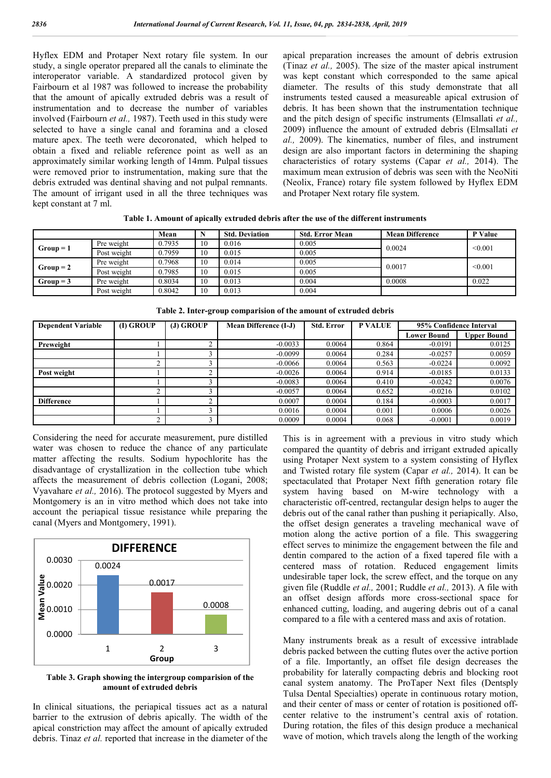Hyflex EDM and Protaper Next rotary file system. In our study, a single operator prepared all the canals to eliminate the interoperator variable. A standardized protocol given by Fairbourn et al 1987 was followed to increase the probability that the amount of apically extruded debris was a result of instrumentation and to decrease the number of variables involved (Fairbourn *et al.,* 1987). Teeth used in this study were selected to have a single canal and foramina and a closed mature apex. The teeth were decoronated, which helped to obtain a fixed and reliable reference point as well as an approximately similar working length of 14mm. Pulpal tissues were removed prior to instrumentation, making sure that the debris extruded was dentinal shaving and not pulpal remnants. The amount of irrigant used in all the three techniques was kept constant at 7 ml.

apical preparation increases the amount of debris extrusion (Tinaz *et al.,* 2005). The size of the master apical instrument was kept constant which corresponded to the same apical diameter. The results of this study demonstrate that all instruments tested caused a measureable apical extrusion of debris. It has been shown that the instrumentation technique and the pitch design of specific instruments (Elmsallati *et al.,*  2009) influence the amount of extruded debris (Elmsallati *et al.,* 2009). The kinematics, number of files, and instrument design are also important factors in determining the shaping characteristics of rotary systems (Capar *et al.,* 2014). The maximum mean extrusion of debris was seen with the NeoNiti (Neolix, France) rotary file system followed by Hyflex EDM and Protaper Next rotary file system.

**Table 1. Amount of apically extruded debris after the use of the different instruments**

|           |             | Mean   |    | <b>Std. Deviation</b> | <b>Std. Error Mean</b> | <b>Mean Difference</b> | P Value |
|-----------|-------------|--------|----|-----------------------|------------------------|------------------------|---------|
| $Group=1$ | Pre weight  | 0.7935 | 10 | 0.016                 | 0.005                  | 0.0024                 | < 0.001 |
|           | Post weight | 0.7959 | 10 | 0.015                 | 0.005                  |                        |         |
| $Group=2$ | Pre weight  | 0.7968 | 10 | 0.014                 | 0.005                  | 0.0017                 | < 0.001 |
|           | Post weight | 0.7985 | 10 | 0.015                 | 0.005                  |                        |         |
| $Group=3$ | Pre weight  | 0.8034 | 10 | 0.013                 | 0.004                  | 0.0008                 | 0.022   |
|           | Post weight | 0.8042 | 10 | 0.013                 | 0.004                  |                        |         |

| <b>Dependent Variable</b> | (I) GROUP | $(J)$ GROUP | Mean Difference (I-J) | <b>Std. Error</b> | <b>P VALUE</b> | 95% Confidence Interval |                    |
|---------------------------|-----------|-------------|-----------------------|-------------------|----------------|-------------------------|--------------------|
|                           |           |             |                       |                   |                | <b>Lower Bound</b>      | <b>Upper Bound</b> |
| Preweight                 |           |             | $-0.0033$             | 0.0064            | 0.864          | $-0.0191$               | 0.0125             |
|                           |           |             | $-0.0099$             | 0.0064            | 0.284          | $-0.0257$               | 0.0059             |
|                           |           |             | $-0.0066$             | 0.0064            | 0.563          | $-0.0224$               | 0.0092             |
| Post weight               |           |             | $-0.0026$             | 0.0064            | 0.914          | $-0.0185$               | 0.0133             |
|                           |           |             | $-0.0083$             | 0.0064            | 0.410          | $-0.0242$               | 0.0076             |
|                           |           |             | $-0.0057$             | 0.0064            | 0.652          | $-0.0216$               | 0.0102             |
| <b>Difference</b>         |           |             | 0.0007                | 0.0004            | 0.184          | $-0.0003$               | 0.0017             |
|                           |           |             | 0.0016                | 0.0004            | 0.001          | 0.0006                  | 0.0026             |
|                           |           |             | 0.0009                | 0.0004            | 0.068          | $-0.0001$               | 0.0019             |

**Table 2. Inter-group comparision of the amount of extruded debris**

Considering the need for accurate measurement, pure distilled water was chosen to reduce the chance of any particulate matter affecting the results. Sodium hypochlorite has the disadvantage of crystallization in the collection tube which affects the measurement of debris collection (Logani, 2008; Vyavahare *et al.,* 2016). The protocol suggested by Myers and Montgomery is an in vitro method which does not take into account the periapical tissue resistance while preparing the canal (Myers and Montgomery, 1991).



**Table 3. Graph showing the intergroup comparision of the amount of extruded debris**

In clinical situations, the periapical tissues act as a natural barrier to the extrusion of debris apically. The width of the apical constriction may affect the amount of apically extruded debris. Tinaz *et al.* reported that increase in the diameter of the This is in agreement with a previous in vitro study which compared the quantity of debris and irrigant extruded apically using Protaper Next system to a system consisting of Hyflex and Twisted rotary file system (Capar *et al.,* 2014). It can be spectaculated that Protaper Next fifth generation rotary file system having based on M-wire technology with a characteristic off-centred, rectangular design helps to auger the debris out of the canal rather than pushing it periapically. Also, the offset design generates a traveling mechanical wave of motion along the active portion of a file. This swaggering effect serves to minimize the engagement between the file and dentin compared to the action of a fixed tapered file with a centered mass of rotation. Reduced engagement limits undesirable taper lock, the screw effect, and the torque on any given file (Ruddle *et al.,* 2001; Ruddle *et al.,* 2013). A file with an offset design affords more cross-sectional space for enhanced cutting, loading, and augering debris out of a canal compared to a file with a centered mass and axis of rotation.

Many instruments break as a result of excessive intrablade debris packed between the cutting flutes over the active portion of a file. Importantly, an offset file design decreases the probability for laterally compacting debris and blocking root canal system anatomy. The ProTaper Next files (Dentsply Tulsa Dental Specialties) operate in continuous rotary motion, and their center of mass or center of rotation is positioned offcenter relative to the instrument's central axis of rotation. During rotation, the files of this design produce a mechanical wave of motion, which travels along the length of the working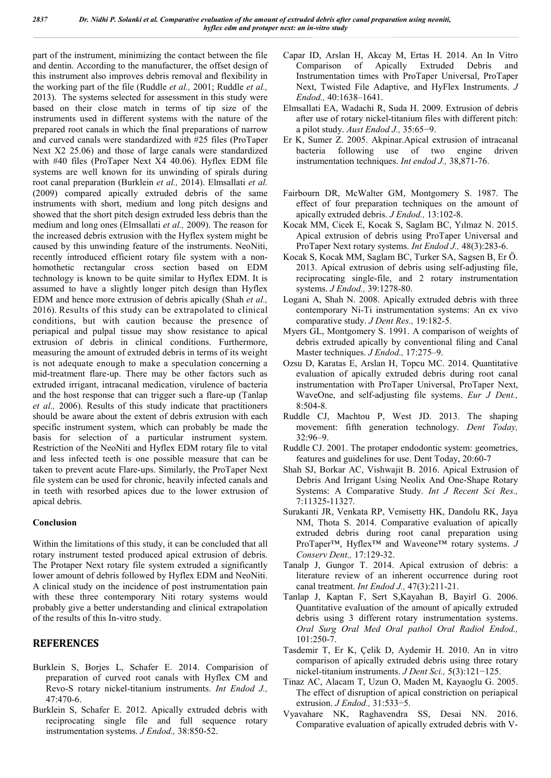part of the instrument, minimizing the contact between the file and dentin. According to the manufacturer, the offset design of this instrument also improves debris removal and flexibility in the working part of the file (Ruddle *et al.,* 2001; Ruddle *et al.,*  2013). The systems selected for assessment in this study were based on their close match in terms of tip size of the instruments used in different systems with the nature of the prepared root canals in which the final preparations of narrow and curved canals were standardized with #25 files (ProTaper Next X2 25.06) and those of large canals were standardized with #40 files (ProTaper Next X4 40.06). Hyflex EDM file systems are well known for its unwinding of spirals during root canal preparation (Burklein *et al.,* 2014). Elmsallati *et al.* (2009) compared apically extruded debris of the same instruments with short, medium and long pitch designs and showed that the short pitch design extruded less debris than the medium and long ones (Elmsallati *et al.,* 2009). The reason for the increased debris extrusion with the Hyflex system might be caused by this unwinding feature of the instruments. NeoNiti, recently introduced efficient rotary file system with a nonhomothetic rectangular cross section based on EDM technology is known to be quite similar to Hyflex EDM. It is assumed to have a slightly longer pitch design than Hyflex EDM and hence more extrusion of debris apically (Shah *et al.,*  2016). Results of this study can be extrapolated to clinical conditions, but with caution because the presence of periapical and pulpal tissue may show resistance to apical extrusion of debris in clinical conditions. Furthermore, measuring the amount of extruded debris in terms of its weight is not adequate enough to make a speculation concerning a mid-treatment flare-up. There may be other factors such as extruded irrigant, intracanal medication, virulence of bacteria and the host response that can trigger such a flare-up (Tanlap *et al.,* 2006). Results of this study indicate that practitioners should be aware about the extent of debris extrusion with each specific instrument system, which can probably be made the basis for selection of a particular instrument system. Restriction of the NeoNiti and Hyflex EDM rotary file to vital and less infected teeth is one possible measure that can be taken to prevent acute Flare-ups. Similarly, the ProTaper Next file system can be used for chronic, heavily infected canals and in teeth with resorbed apices due to the lower extrusion of apical debris.

#### **Conclusion**

Within the limitations of this study, it can be concluded that all rotary instrument tested produced apical extrusion of debris. The Protaper Next rotary file system extruded a significantly lower amount of debris followed by Hyflex EDM and NeoNiti. A clinical study on the incidence of post instrumentation pain with these three contemporary Niti rotary systems would probably give a better understanding and clinical extrapolation of the results of this In-vitro study.

## **REFERENCES**

- Burklein S, Borjes L, Schafer E. 2014. Comparision of preparation of curved root canals with Hyflex CM and Revo-S rotary nickel-titanium instruments. *Int Endod J.,* 47:470-6.
- Burklein S, Schafer E. 2012. Apically extruded debris with reciprocating single file and full sequence rotary instrumentation systems. *J Endod.,* 38:850-52.
- Capar ID, Arslan H, Akcay M, Ertas H. 2014. An In Vitro Comparison of Apically Extruded Debris and Instrumentation times with ProTaper Universal, ProTaper Next, Twisted File Adaptive, and HyFlex Instruments. *J Endod.,* 40:1638–1641.
- Elmsallati EA, Wadachi R, Suda H. 2009. Extrusion of debris after use of rotary nickel-titanium files with different pitch: a pilot study. *Aust Endod J.,* 35:65−9.
- Er K, Sumer Z. 2005. Akpinar.Apical extrusion of intracanal bacteria following use of two engine driven instrumentation techniques. *Int endod J.,* 38,871-76.
- Fairbourn DR, McWalter GM, Montgomery S. 1987. The effect of four preparation techniques on the amount of apically extruded debris. *J Endod.,* 13:102-8.
- Kocak MM, Cicek E, Kocak S, Saglam BC, Yılmaz N. 2015. Apical extrusion of debris using ProTaper Universal and ProTaper Next rotary systems. *Int Endod J.,* 48(3):283-6.
- Kocak S, Kocak MM, Saglam BC, Turker SA, Sagsen B, Er Ö. 2013. Apical extrusion of debris using self-adjusting file, reciprocating single-file, and 2 rotary instrumentation systems. *J Endod.,* 39:1278-80.
- Logani A, Shah N. 2008. Apically extruded debris with three contemporary Ni-Ti instrumentation systems: An ex vivo comparative study. *J Dent Res.,* 19:182-5.
- Myers GL, Montgomery S. 1991. A comparison of weights of debris extruded apically by conventional filing and Canal Master techniques. *J Endod.,* 17:275–9.
- Ozsu D, Karatas E, Arslan H, Topcu MC. 2014. Quantitative evaluation of apically extruded debris during root canal instrumentation with ProTaper Universal, ProTaper Next, WaveOne, and self-adjusting file systems. *Eur J Dent.,* 8:504-8.
- Ruddle CJ, Machtou P, West JD. 2013. The shaping movement: fifth generation technology. *Dent Today,* 32:96–9.
- Ruddle CJ. 2001. The protaper endodontic system: geometries, features and guidelines for use. Dent Today, 20:60-7
- Shah SJ, Borkar AC, Vishwajit B. 2016. Apical Extrusion of Debris And Irrigant Using Neolix And One-Shape Rotary Systems: A Comparative Study. *Int J Recent Sci Res.,* 7:11325-11327.
- Surakanti JR, Venkata RP, Vemisetty HK, Dandolu RK, Jaya NM, Thota S. 2014. Comparative evaluation of apically extruded debris during root canal preparation using ProTaper™, Hyflex™ and Waveone™ rotary systems. *J Conserv Dent.,* 17:129-32.
- Tanalp J, Gungor T. 2014. Apical extrusion of debris: a literature review of an inherent occurrence during root canal treatment. *Int Endod J.,* 47(3):211-21.
- Tanlap J, Kaptan F, Sert S,Kayahan B, Bayirl G. 2006. Quantitative evaluation of the amount of apically extruded debris using 3 different rotary instrumentation systems. *Oral Surg Oral Med Oral pathol Oral Radiol Endod.,*  101:250-7.
- Tasdemir T, Er K, Çelik D, Aydemir H. 2010. An in vitro comparison of apically extruded debris using three rotary nickel-titanium instruments. *J Dent Sci.,* 5(3):121−125.
- Tinaz AC, Alacam T, Uzun O, Maden M, Kayaoglu G. 2005. The effect of disruption of apical constriction on periapical extrusion. *J Endod.,* 31:533−5.
- Vyavahare NK, Raghavendra SS, Desai NN. 2016. Comparative evaluation of apically extruded debris with V-